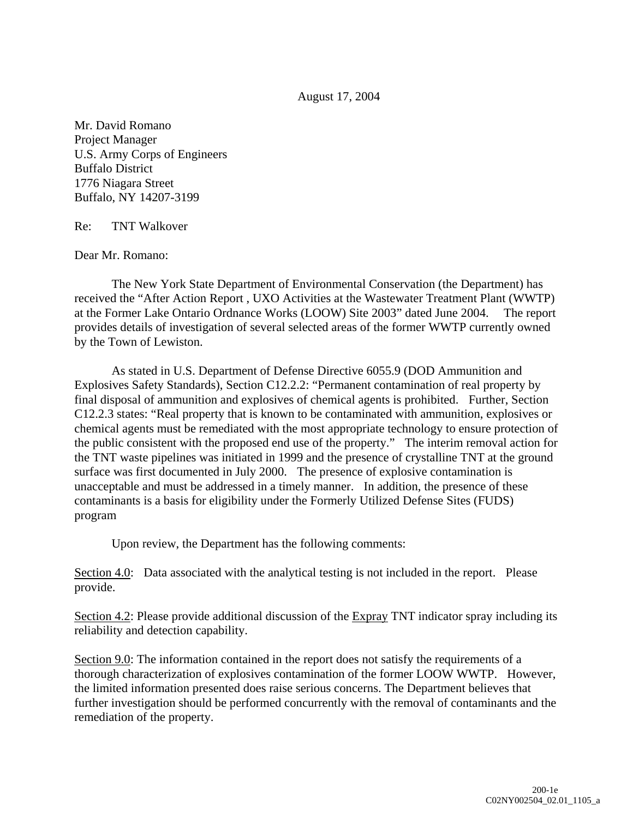August 17, 2004

Mr. David Romano Project Manager U.S. Army Corps of Engineers Buffalo District 1776 Niagara Street Buffalo, NY 14207-3199

Re: TNT Walkover

Dear Mr. Romano:

The New York State Department of Environmental Conservation (the Department) has received the "After Action Report , UXO Activities at the Wastewater Treatment Plant (WWTP) at the Former Lake Ontario Ordnance Works (LOOW) Site 2003" dated June 2004. The report provides details of investigation of several selected areas of the former WWTP currently owned by the Town of Lewiston.

As stated in U.S. Department of Defense Directive 6055.9 (DOD Ammunition and Explosives Safety Standards), Section C12.2.2: "Permanent contamination of real property by final disposal of ammunition and explosives of chemical agents is prohibited. Further, Section C12.2.3 states: "Real property that is known to be contaminated with ammunition, explosives or chemical agents must be remediated with the most appropriate technology to ensure protection of the public consistent with the proposed end use of the property." The interim removal action for the TNT waste pipelines was initiated in 1999 and the presence of crystalline TNT at the ground surface was first documented in July 2000. The presence of explosive contamination is unacceptable and must be addressed in a timely manner. In addition, the presence of these contaminants is a basis for eligibility under the Formerly Utilized Defense Sites (FUDS) program

Upon review, the Department has the following comments:

Section 4.0: Data associated with the analytical testing is not included in the report. Please provide.

Section 4.2: Please provide additional discussion of the Expray TNT indicator spray including its reliability and detection capability.

Section 9.0: The information contained in the report does not satisfy the requirements of a thorough characterization of explosives contamination of the former LOOW WWTP. However, the limited information presented does raise serious concerns. The Department believes that further investigation should be performed concurrently with the removal of contaminants and the remediation of the property.